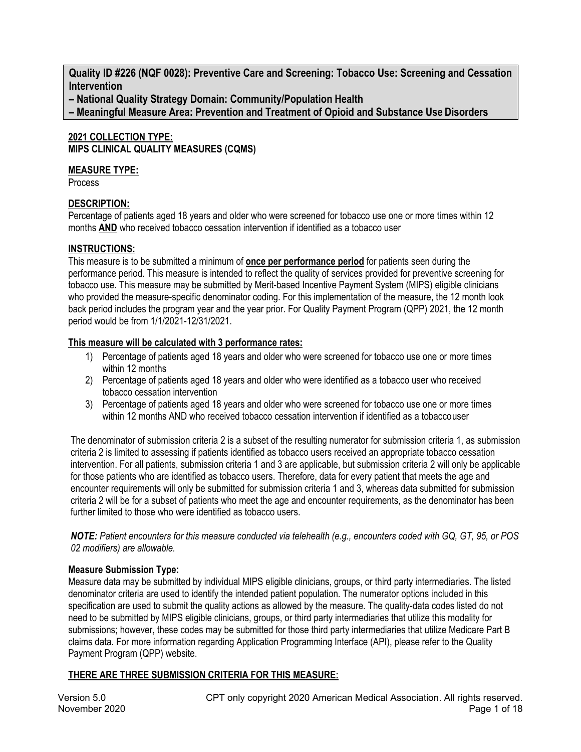**Quality ID #226 (NQF 0028): Preventive Care and Screening: Tobacco Use: Screening and Cessation Intervention**

**– National Quality Strategy Domain: Community/Population Health**

**– Meaningful Measure Area: Prevention and Treatment of Opioid and Substance Use Disorders**

#### **2021 COLLECTION TYPE: MIPS CLINICAL QUALITY MEASURES (CQMS)**

#### **MEASURE TYPE:**

Process

# **DESCRIPTION:**

Percentage of patients aged 18 years and older who were screened for tobacco use one or more times within 12 months **AND** who received tobacco cessation intervention if identified as a tobacco user

#### **INSTRUCTIONS:**

This measure is to be submitted a minimum of **once per performance period** for patients seen during the performance period. This measure is intended to reflect the quality of services provided for preventive screening for tobacco use. This measure may be submitted by Merit-based Incentive Payment System (MIPS) eligible clinicians who provided the measure-specific denominator coding. For this implementation of the measure, the 12 month look back period includes the program year and the year prior. For Quality Payment Program (QPP) 2021, the 12 month period would be from 1/1/2021-12/31/2021.

#### **This measure will be calculated with 3 performance rates:**

- 1) Percentage of patients aged 18 years and older who were screened for tobacco use one or more times within 12 months
- 2) Percentage of patients aged 18 years and older who were identified as a tobacco user who received tobacco cessation intervention
- 3) Percentage of patients aged 18 years and older who were screened for tobacco use one or more times within 12 months AND who received tobacco cessation intervention if identified as a tobaccouser

The denominator of submission criteria 2 is a subset of the resulting numerator for submission criteria 1, as submission criteria 2 is limited to assessing if patients identified as tobacco users received an appropriate tobacco cessation intervention. For all patients, submission criteria 1 and 3 are applicable, but submission criteria 2 will only be applicable for those patients who are identified as tobacco users. Therefore, data for every patient that meets the age and encounter requirements will only be submitted for submission criteria 1 and 3, whereas data submitted for submission criteria 2 will be for a subset of patients who meet the age and encounter requirements, as the denominator has been further limited to those who were identified as tobacco users.

*NOTE: Patient encounters for this measure conducted via telehealth (e.g., encounters coded with GQ, GT, 95, or POS 02 modifiers) are allowable.*

# **Measure Submission Type:**

Measure data may be submitted by individual MIPS eligible clinicians, groups, or third party intermediaries. The listed denominator criteria are used to identify the intended patient population. The numerator options included in this specification are used to submit the quality actions as allowed by the measure. The quality-data codes listed do not need to be submitted by MIPS eligible clinicians, groups, or third party intermediaries that utilize this modality for submissions; however, these codes may be submitted for those third party intermediaries that utilize Medicare Part B claims data. For more information regarding Application Programming Interface (API), please refer to the Quality Payment Program (QPP) website.

# **THERE ARE THREE SUBMISSION CRITERIA FOR THIS MEASURE:**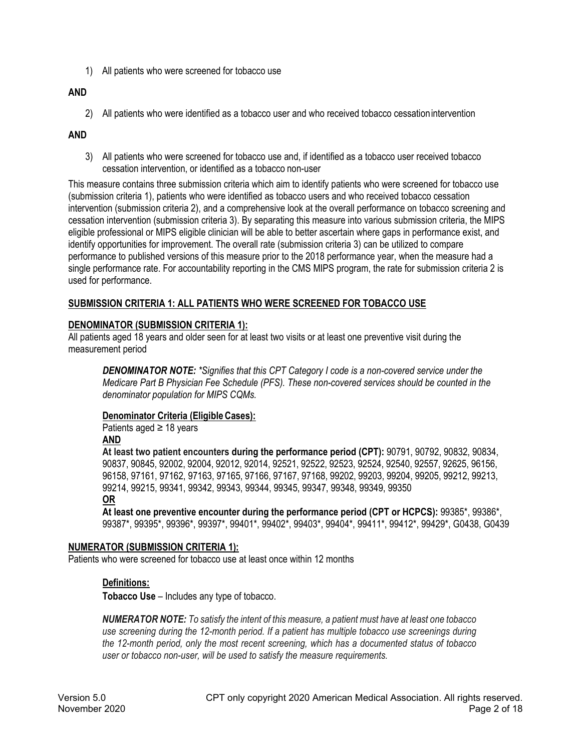1) All patients who were screened for tobacco use

# **AND**

2) All patients who were identified as a tobacco user and who received tobacco cessationintervention

# **AND**

3) All patients who were screened for tobacco use and, if identified as a tobacco user received tobacco cessation intervention, or identified as a tobacco non-user

This measure contains three submission criteria which aim to identify patients who were screened for tobacco use (submission criteria 1), patients who were identified as tobacco users and who received tobacco cessation intervention (submission criteria 2), and a comprehensive look at the overall performance on tobacco screening and cessation intervention (submission criteria 3). By separating this measure into various submission criteria, the MIPS eligible professional or MIPS eligible clinician will be able to better ascertain where gaps in performance exist, and identify opportunities for improvement. The overall rate (submission criteria 3) can be utilized to compare performance to published versions of this measure prior to the 2018 performance year, when the measure had a single performance rate. For accountability reporting in the CMS MIPS program, the rate for submission criteria 2 is used for performance.

# **SUBMISSION CRITERIA 1: ALL PATIENTS WHO WERE SCREENED FOR TOBACCO USE**

# **DENOMINATOR (SUBMISSION CRITERIA 1):**

All patients aged 18 years and older seen for at least two visits or at least one preventive visit during the measurement period

*DENOMINATOR NOTE: \*Signifies that this CPT Category I code is a non-covered service under the Medicare Part B Physician Fee Schedule (PFS). These non-covered services should be counted in the denominator population for MIPS CQMs.* 

# **Denominator Criteria (Eligible Cases):**

Patients aged ≥ 18 years **AND**

**At least two patient encounters during the performance period (CPT):** 90791, 90792, 90832, 90834, 90837, 90845, 92002, 92004, 92012, 92014, 92521, 92522, 92523, 92524, 92540, 92557, 92625, 96156, 96158, 97161, 97162, 97163, 97165, 97166, 97167, 97168, 99202, 99203, 99204, 99205, 99212, 99213, 99214, 99215, 99341, 99342, 99343, 99344, 99345, 99347, 99348, 99349, 99350

**OR**

**At least one preventive encounter during the performance period (CPT or HCPCS):** 99385\*, 99386\*, 99387\*, 99395\*, 99396\*, 99397\*, 99401\*, 99402\*, 99403\*, 99404\*, 99411\*, 99412\*, 99429\*, G0438, G0439

#### **NUMERATOR (SUBMISSION CRITERIA 1):**

Patients who were screened for tobacco use at least once within 12 months

# **Definitions:**

**Tobacco Use** – Includes any type of tobacco.

*NUMERATOR NOTE: To satisfy the intent of this measure, a patient must have at least one tobacco use screening during the 12-month period. If a patient has multiple tobacco use screenings during the 12-month period, only the most recent screening, which has a documented status of tobacco user or tobacco non-user, will be used to satisfy the measure requirements.*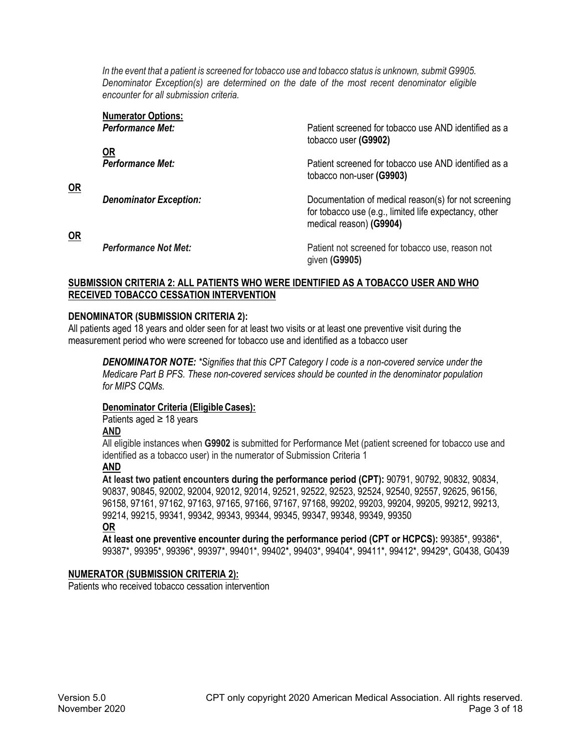*In the event that a patient is screened for tobacco use and tobacco status is unknown, submit G9905. Denominator Exception(s) are determined on the date of the most recent denominator eligible encounter for all submission criteria.*

| <b>Numerator Options:</b>     | Patient screened for tobacco use AND identified as a                                                                                     |  |  |  |  |  |
|-------------------------------|------------------------------------------------------------------------------------------------------------------------------------------|--|--|--|--|--|
| <b>Performance Met:</b>       | tobacco user (G9902)                                                                                                                     |  |  |  |  |  |
| 0R                            | Patient screened for tobacco use AND identified as a                                                                                     |  |  |  |  |  |
| <b>Performance Met:</b>       | tobacco non-user (G9903)                                                                                                                 |  |  |  |  |  |
| <b>Denominator Exception:</b> | Documentation of medical reason(s) for not screening<br>for tobacco use (e.g., limited life expectancy, other<br>medical reason) (G9904) |  |  |  |  |  |
| <b>Performance Not Met:</b>   | Patient not screened for tobacco use, reason not<br>given (G9905)                                                                        |  |  |  |  |  |

#### **SUBMISSION CRITERIA 2: ALL PATIENTS WHO WERE IDENTIFIED AS A TOBACCO USER AND WHO RECEIVED TOBACCO CESSATION INTERVENTION**

# **DENOMINATOR (SUBMISSION CRITERIA 2):**

All patients aged 18 years and older seen for at least two visits or at least one preventive visit during the measurement period who were screened for tobacco use and identified as a tobacco user

*DENOMINATOR NOTE: \*Signifies that this CPT Category I code is a non-covered service under the Medicare Part B PFS. These non-covered services should be counted in the denominator population for MIPS CQMs.*

#### **Denominator Criteria (Eligible Cases):**

#### Patients aged ≥ 18 years

# **AND**

**OR**

**OR**

All eligible instances when **G9902** is submitted for Performance Met (patient screened for tobacco use and identified as a tobacco user) in the numerator of Submission Criteria 1

#### **AND**

**At least two patient encounters during the performance period (CPT):** 90791, 90792, 90832, 90834, 90837, 90845, 92002, 92004, 92012, 92014, 92521, 92522, 92523, 92524, 92540, 92557, 92625, 96156, 96158, 97161, 97162, 97163, 97165, 97166, 97167, 97168, 99202, 99203, 99204, 99205, 99212, 99213, 99214, 99215, 99341, 99342, 99343, 99344, 99345, 99347, 99348, 99349, 99350

# **OR**

**At least one preventive encounter during the performance period (CPT or HCPCS):** 99385\*, 99386\*, 99387\*, 99395\*, 99396\*, 99397\*, 99401\*, 99402\*, 99403\*, 99404\*, 99411\*, 99412\*, 99429\*, G0438, G0439

#### **NUMERATOR (SUBMISSION CRITERIA 2):**

Patients who received tobacco cessation intervention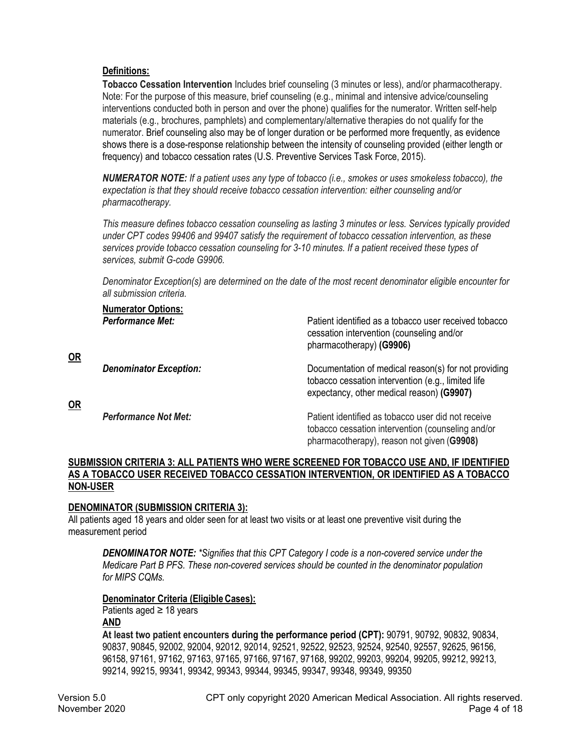## **Definitions:**

**Tobacco Cessation Intervention** Includes brief counseling (3 minutes or less), and/or pharmacotherapy. Note: For the purpose of this measure, brief counseling (e.g., minimal and intensive advice/counseling interventions conducted both in person and over the phone) qualifies for the numerator. Written self-help materials (e.g., brochures, pamphlets) and complementary/alternative therapies do not qualify for the numerator. Brief counseling also may be of longer duration or be performed more frequently, as evidence shows there is a dose-response relationship between the intensity of counseling provided (either length or frequency) and tobacco cessation rates (U.S. Preventive Services Task Force, 2015).

*NUMERATOR NOTE: If a patient uses any type of tobacco (i.e., smokes or uses smokeless tobacco), the expectation is that they should receive tobacco cessation intervention: either counseling and/or pharmacotherapy.* 

*This measure defines tobacco cessation counseling as lasting 3 minutes or less. Services typically provided under CPT codes 99406 and 99407 satisfy the requirement of tobacco cessation intervention, as these services provide tobacco cessation counseling for 3-10 minutes. If a patient received these types of services, submit G-code G9906.* 

*Denominator Exception(s) are determined on the date of the most recent denominator eligible encounter for all submission criteria.*

**Numerator Options:**

*Performance Met:* Patient identified as a tobacco user received tobacco cessation intervention (counseling and/or pharmacotherapy) **(G9906)**

**Denominator Exception:** Documentation of medical reason(s) for not providing tobacco cessation intervention (e.g., limited life expectancy, other medical reason) **(G9907)**

**OR**

**OR**

*Performance Not Met:* Patient identified as tobacco user did not receive tobacco cessation intervention (counseling and/or pharmacotherapy), reason not given (**G9908)**

#### **SUBMISSION CRITERIA 3: ALL PATIENTS WHO WERE SCREENED FOR TOBACCO USE AND, IF IDENTIFIED AS A TOBACCO USER RECEIVED TOBACCO CESSATION INTERVENTION, OR IDENTIFIED AS A TOBACCO NON-USER**

# **DENOMINATOR (SUBMISSION CRITERIA 3):**

All patients aged 18 years and older seen for at least two visits or at least one preventive visit during the measurement period

*DENOMINATOR NOTE: \*Signifies that this CPT Category I code is a non-covered service under the Medicare Part B PFS. These non-covered services should be counted in the denominator population for MIPS CQMs.*

# **Denominator Criteria (Eligible Cases):**

Patients aged ≥ 18 years

**AND**

**At least two patient encounters during the performance period (CPT):** 90791, 90792, 90832, 90834, 90837, 90845, 92002, 92004, 92012, 92014, 92521, 92522, 92523, 92524, 92540, 92557, 92625, 96156, 96158, 97161, 97162, 97163, 97165, 97166, 97167, 97168, 99202, 99203, 99204, 99205, 99212, 99213, 99214, 99215, 99341, 99342, 99343, 99344, 99345, 99347, 99348, 99349, 99350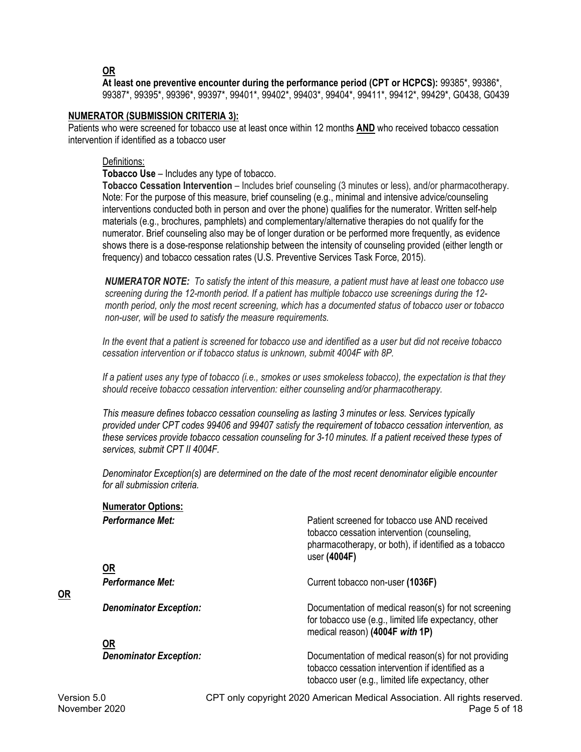# **OR**

**At least one preventive encounter during the performance period (CPT or HCPCS):** 99385\*, 99386\*, 99387\*, 99395\*, 99396\*, 99397\*, 99401\*, 99402\*, 99403\*, 99404\*, 99411\*, 99412\*, 99429\*, G0438, G0439

#### **NUMERATOR (SUBMISSION CRITERIA 3):**

Patients who were screened for tobacco use at least once within 12 months **AND** who received tobacco cessation intervention if identified as a tobacco user

#### Definitions:

#### **Tobacco Use** – Includes any type of tobacco.

**Tobacco Cessation Intervention** – Includes brief counseling (3 minutes or less), and/or pharmacotherapy. Note: For the purpose of this measure, brief counseling (e.g., minimal and intensive advice/counseling interventions conducted both in person and over the phone) qualifies for the numerator. Written self-help materials (e.g., brochures, pamphlets) and complementary/alternative therapies do not qualify for the numerator. Brief counseling also may be of longer duration or be performed more frequently, as evidence shows there is a dose-response relationship between the intensity of counseling provided (either length or frequency) and tobacco cessation rates (U.S. Preventive Services Task Force, 2015).

*NUMERATOR NOTE: To satisfy the intent of this measure, a patient must have at least one tobacco use screening during the 12-month period. If a patient has multiple tobacco use screenings during the 12 month period, only the most recent screening, which has a documented status of tobacco user or tobacco non-user, will be used to satisfy the measure requirements.* 

*In the event that a patient is screened for tobacco use and identified as a user but did not receive tobacco cessation intervention or if tobacco status is unknown, submit 4004F with 8P.* 

*If a patient uses any type of tobacco (i.e., smokes or uses smokeless tobacco), the expectation is that they should receive tobacco cessation intervention: either counseling and/or pharmacotherapy.*

*This measure defines tobacco cessation counseling as lasting 3 minutes or less. Services typically provided under CPT codes 99406 and 99407 satisfy the requirement of tobacco cessation intervention, as these services provide tobacco cessation counseling for 3-10 minutes. If a patient received these types of services, submit CPT II 4004F.* 

*Denominator Exception(s) are determined on the date of the most recent denominator eligible encounter for all submission criteria.*

| <b>Numerator Options:</b>     |                                                                                                                                                                       |
|-------------------------------|-----------------------------------------------------------------------------------------------------------------------------------------------------------------------|
| <b>Performance Met:</b>       | Patient screened for tobacco use AND received<br>tobacco cessation intervention (counseling,<br>pharmacotherapy, or both), if identified as a tobacco<br>user (4004F) |
| <b>OR</b>                     |                                                                                                                                                                       |
| <b>Performance Met:</b>       | Current tobacco non-user (1036F)                                                                                                                                      |
| <b>Denominator Exception:</b> | Documentation of medical reason(s) for not screening<br>for tobacco use (e.g., limited life expectancy, other<br>medical reason) (4004F with 1P)                      |
| <u>OR</u>                     |                                                                                                                                                                       |
| <b>Denominator Exception:</b> | Documentation of medical reason(s) for not providing<br>tobacco cessation intervention if identified as a<br>tobacco user (e.g., limited life expectancy, other       |
|                               |                                                                                                                                                                       |

**OR**

Version 5.0 CPT only copyright 2020 American Medical Association. All rights reserved. November 2020 Page 5 of 18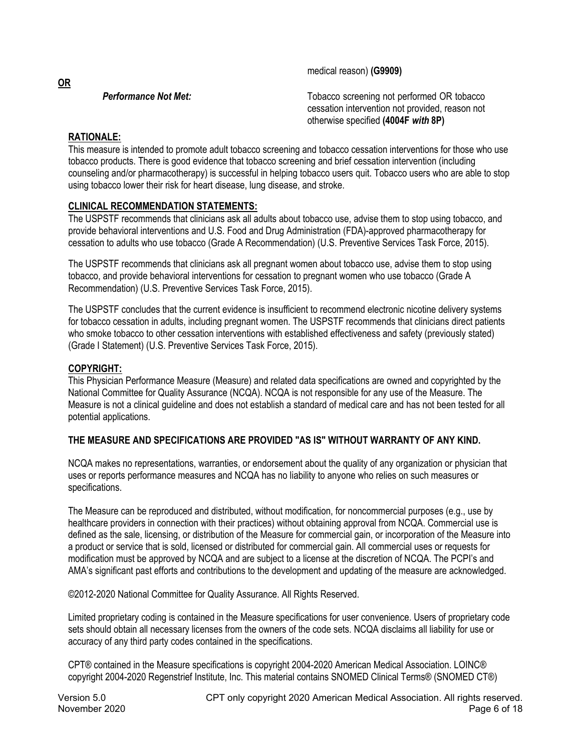medical reason) **(G9909)**

**Performance Not Met: The COVID-TODACCO** screening not performed OR tobacco cessation intervention not provided, reason not otherwise specified **(4004F** *with* **8P)**

# **RATIONALE:**

This measure is intended to promote adult tobacco screening and tobacco cessation interventions for those who use tobacco products. There is good evidence that tobacco screening and brief cessation intervention (including counseling and/or pharmacotherapy) is successful in helping tobacco users quit. Tobacco users who are able to stop using tobacco lower their risk for heart disease, lung disease, and stroke.

# **CLINICAL RECOMMENDATION STATEMENTS:**

The USPSTF recommends that clinicians ask all adults about tobacco use, advise them to stop using tobacco, and provide behavioral interventions and U.S. Food and Drug Administration (FDA)-approved pharmacotherapy for cessation to adults who use tobacco (Grade A Recommendation) (U.S. Preventive Services Task Force, 2015).

The USPSTF recommends that clinicians ask all pregnant women about tobacco use, advise them to stop using tobacco, and provide behavioral interventions for cessation to pregnant women who use tobacco (Grade A Recommendation) (U.S. Preventive Services Task Force, 2015).

The USPSTF concludes that the current evidence is insufficient to recommend electronic nicotine delivery systems for tobacco cessation in adults, including pregnant women. The USPSTF recommends that clinicians direct patients who smoke tobacco to other cessation interventions with established effectiveness and safety (previously stated) (Grade I Statement) (U.S. Preventive Services Task Force, 2015).

# **COPYRIGHT:**

This Physician Performance Measure (Measure) and related data specifications are owned and copyrighted by the National Committee for Quality Assurance (NCQA). NCQA is not responsible for any use of the Measure. The Measure is not a clinical guideline and does not establish a standard of medical care and has not been tested for all potential applications.

# **THE MEASURE AND SPECIFICATIONS ARE PROVIDED "AS IS" WITHOUT WARRANTY OF ANY KIND.**

NCQA makes no representations, warranties, or endorsement about the quality of any organization or physician that uses or reports performance measures and NCQA has no liability to anyone who relies on such measures or specifications.

The Measure can be reproduced and distributed, without modification, for noncommercial purposes (e.g., use by healthcare providers in connection with their practices) without obtaining approval from NCQA. Commercial use is defined as the sale, licensing, or distribution of the Measure for commercial gain, or incorporation of the Measure into a product or service that is sold, licensed or distributed for commercial gain. All commercial uses or requests for modification must be approved by NCQA and are subject to a license at the discretion of NCQA. The PCPI's and AMA's significant past efforts and contributions to the development and updating of the measure are acknowledged.

©2012-2020 National Committee for Quality Assurance. All Rights Reserved.

Limited proprietary coding is contained in the Measure specifications for user convenience. Users of proprietary code sets should obtain all necessary licenses from the owners of the code sets. NCQA disclaims all liability for use or accuracy of any third party codes contained in the specifications.

CPT® contained in the Measure specifications is copyright 2004-2020 American Medical Association. LOINC® copyright 2004-2020 Regenstrief Institute, Inc. This material contains SNOMED Clinical Terms® (SNOMED CT®)

**OR**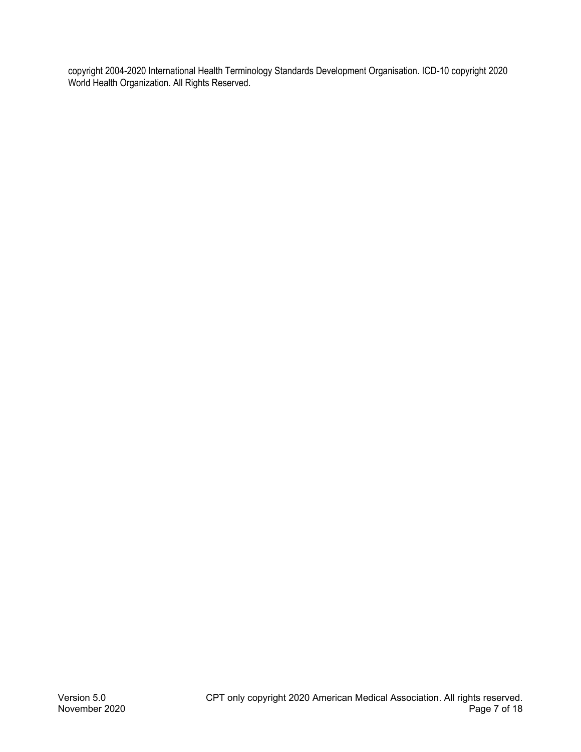copyright 2004-2020 International Health Terminology Standards Development Organisation. ICD-10 copyright 2020 World Health Organization. All Rights Reserved.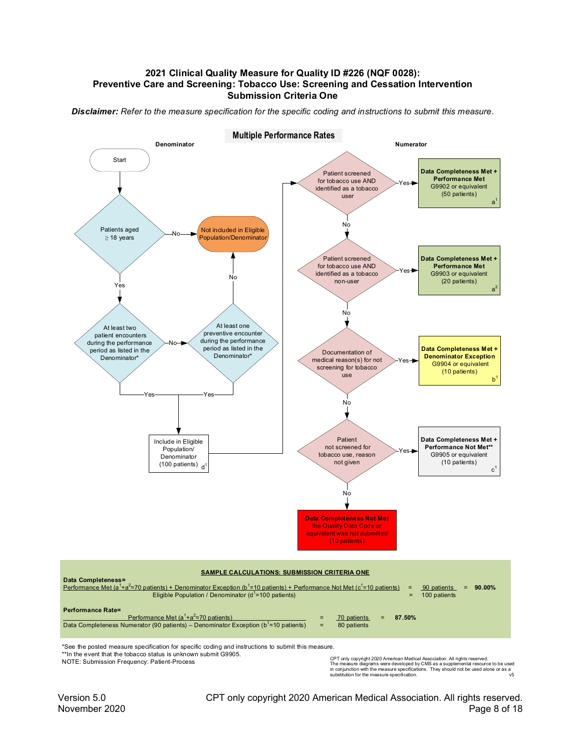#### **2021 Clinical Quality Measure for Quality ID #226 (NQF 0028): Preventive Care and Screening: Tobacco Use: Screening and Cessation Intervention Submission Criteria One**

*Disclaimer: Refer to the measure specification for the specific coding and instructions to submit this measure.*



\*\*In the event that the tobacco status is unknown submit G9905.<br>NOTE: Submission Frequency: Patient-Process

CPT only copyright 2020 American Medical Association. All rights reserved.<br>The measure dispared and the measure specifications. They should not be used<br>In conjunction with the measure specifications. They should not be us

Version 5.0 CPT only copyright 2020 American Medical Association. All rights reserved. November 2020 **Page 8 of 18**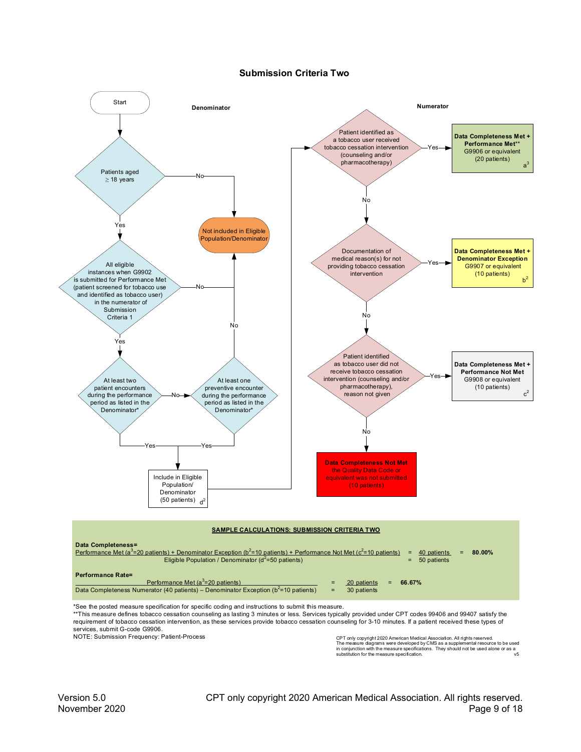#### **Submission Criteria Two**



services, submit G-code G9906.<br>NOTE: Submission Frequency: Patient-Process

CPT only copyright 2020 American Medical Association. All rights reserved.<br>The measure diagrams were developed by CMS as a supplemental resource to be used<br>in conjunction with the measure specifications. They should not b

Version 5.0 CPT only copyright 2020 American Medical Association. All rights reserved. November 2020 **Page 9 of 18**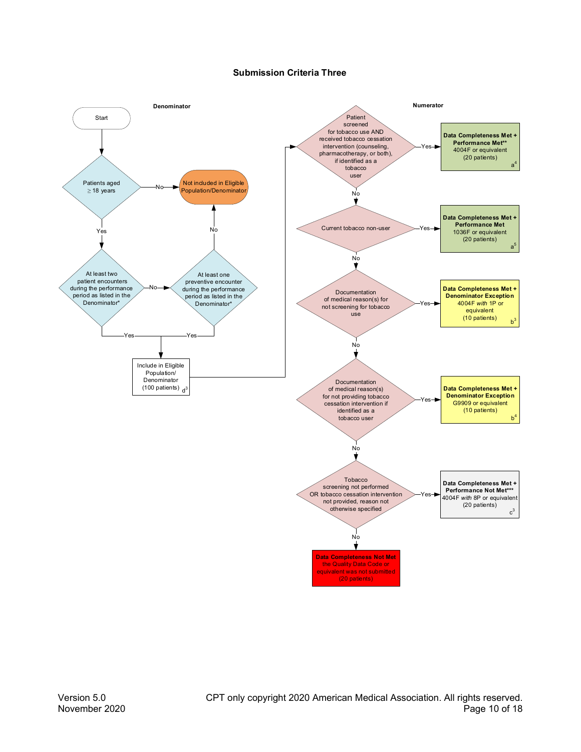#### **Submission Criteria Three**

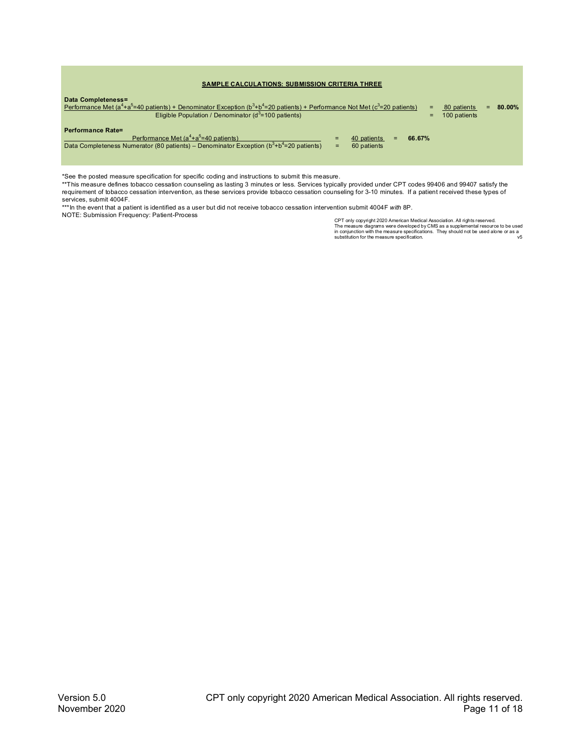#### **SAMPLE CALCULATIONS: SUBMISSION CRITERIA THREE**

| Data Completeness=<br>Performance Met ( $a^4 + a^5 = 40$ patients) + Denominator Exception ( $b^3 + b^4 = 20$ patients) + Performance Not Met ( $c^3 = 20$ patients)<br>Eligible Population / Denominator $(d^3=100$ patients) |     |                            |   |        | $=$<br>= | 80 patients<br>100 patients | Ξ. | 80.00% |
|--------------------------------------------------------------------------------------------------------------------------------------------------------------------------------------------------------------------------------|-----|----------------------------|---|--------|----------|-----------------------------|----|--------|
| <b>Performance Rate=</b><br>Performance Met $(a^4+a^5=40$ patients)<br>Data Completeness Numerator (80 patients) – Denominator Exception $(b^3+b^4=20$ patients)                                                               | $=$ | 40 patients<br>60 patients | = | 66.67% |          |                             |    |        |

\*See the posted measure specification for specific coding and instructions to submit this measure.<br>\*\*This measure defines tobacco cessation counseling as lasting 3 minutes or less. Services typically provided under CPT cod requirement of tobacco cessation intervention, as these services provide tobacco cessation counseling for 3-10 minutes. If a patient received these types of services, submit 4004F.<br>\*\*\*In the event that a patient is identified as a user but did not receive tobacco cessation intervention submit 4004F with 8P.

NOTE: Submission Frequency: Patient-Process

CPT only copyright 2020 American Medical Association. All rights reserved.<br>The measure diagrams were developed by CMS as a supplemental resource to be used<br>in conjunction with the measure specifications. They should not be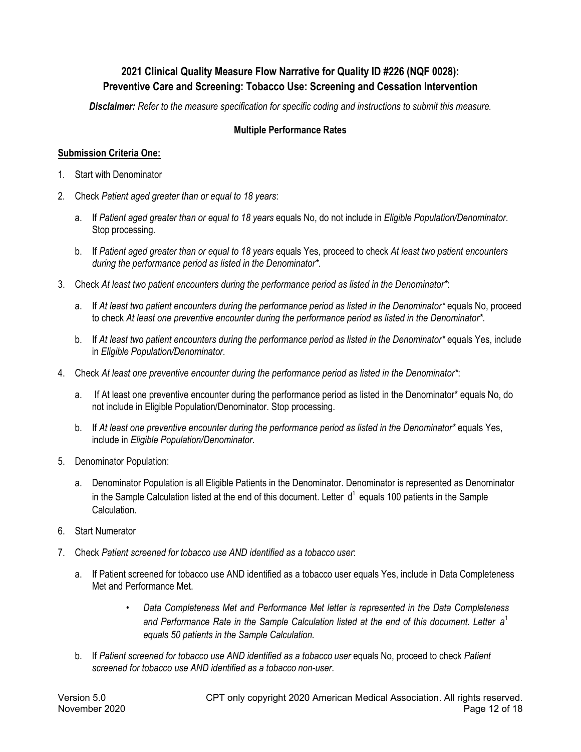# **2021 Clinical Quality Measure Flow Narrative for Quality ID #226 (NQF 0028): Preventive Care and Screening: Tobacco Use: Screening and Cessation Intervention**

*Disclaimer: Refer to the measure specification for specific coding and instructions to submit this measure.*

# **Multiple Performance Rates**

# **Submission Criteria One:**

- 1. Start with Denominator
- 2. Check *Patient aged greater than or equal to 18 years*:
	- a. If *Patient aged greater than or equal to 18 years* equals No, do not include in *Eligible Population/Denominator*. Stop processing.
	- b. If *Patient aged greater than or equal to 18 years* equals Yes, proceed to check *At least two patient encounters during the performance period as listed in the Denominator\**.
- 3. Check *At least two patient encounters during the performance period as listed in the Denominator\**:
	- a. If *At least two patient encounters during the performance period as listed in the Denominator\** equals No, proceed to check *At least one preventive encounter during the performance period as listed in the Denominator\**.
	- b. If *At least two patient encounters during the performance period as listed in the Denominator\** equals Yes, include in *Eligible Population/Denominator*.
- 4. Check *At least one preventive encounter during the performance period as listed in the Denominator\**:
	- a. If At least one preventive encounter during the performance period as listed in the Denominator\* equals No, do not include in Eligible Population/Denominator. Stop processing.
	- b. If At least one preventive encounter during the performance period as listed in the Denominator<sup>\*</sup> equals Yes, include in *Eligible Population/Denominator*.
- 5. Denominator Population:
	- a. Denominator Population is all Eligible Patients in the Denominator. Denominator is represented as Denominator in the Sample Calculation listed at the end of this document. Letter  $d^1$  equals 100 patients in the Sample Calculation.
- 6. Start Numerator
- 7. Check *Patient screened for tobacco use AND identified as a tobacco user*:
	- a. If Patient screened for tobacco use AND identified as a tobacco user equals Yes, include in Data Completeness Met and Performance Met.
		- *Data Completeness Met and Performance Met letter is represented in the Data Completeness and Performance Rate in the Sample Calculation listed at the end of this document. Letter a<sup>1</sup> equals 50 patients in the Sample Calculation.*
	- b. If *Patient screened for tobacco use AND identified as a tobacco user* equals No, proceed to check *Patient screened for tobacco use AND identified as a tobacco non-user*.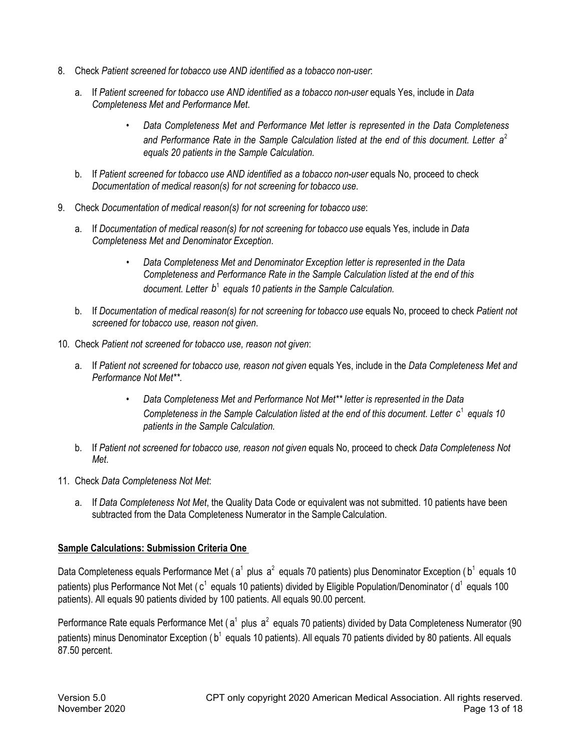- 8. Check *Patient screened for tobacco use AND identified as a tobacco non-user*:
	- a. If *Patient screened for tobacco use AND identified as a tobacco non-user* equals Yes, include in *Data Completeness Met and Performance Met*.
		- *Data Completeness Met and Performance Met letter is represented in the Data Completeness and Performance Rate in the Sample Calculation listed at the end of this document. Letter a*<sup>2</sup> *equals 20 patients in the Sample Calculation.*
	- b. If *Patient screened for tobacco use AND identified as a tobacco non-user* equals No, proceed to check *Documentation of medical reason(s) for not screening for tobacco use*.
- 9. Check *Documentation of medical reason(s) for not screening for tobacco use*:
	- a. If *Documentation of medical reason(s) for not screening for tobacco use* equals Yes, include in *Data Completeness Met and Denominator Exception*.
		- *Data Completeness Met and Denominator Exception letter is represented in the Data Completeness and Performance Rate in the Sample Calculation listed at the end of this document. Letter b*<sup>1</sup> *equals 10 patients in the Sample Calculation.*
	- b. If *Documentation of medical reason(s) for not screening for tobacco use* equals No, proceed to check *Patient not screened for tobacco use, reason not given*.
- 10. Check *Patient not screened for tobacco use, reason not given*:
	- a. If *Patient not screened for tobacco use, reason not given* equals Yes, include in the *Data Completeness Met and Performance Not Met\*\**.
		- *Data Completeness Met and Performance Not Met\*\* letter is represented in the Data Completeness in the Sample Calculation listed at the end of this document. Letter c<sup>1</sup> equals 10 patients in the Sample Calculation.*
	- b. If *Patient not screened for tobacco use, reason not given* equals No, proceed to check *Data Completeness Not Met*.
- 11. Check *Data Completeness Not Met*:
	- a. If *Data Completeness Not Met*, the Quality Data Code or equivalent was not submitted. 10 patients have been subtracted from the Data Completeness Numerator in the Sample Calculation.

# **Sample Calculations: Submission Criteria One**

Data Completeness equals Performance Met ( $a^1$  plus  $a^2$  equals 70 patients) plus Denominator Exception ( $b^1$  equals 10 patients) plus Performance Not Met ( $c^1$  equals 10 patients) divided by Eligible Population/Denominator (d<sup>1</sup> equals 100 patients). All equals 90 patients divided by 100 patients. All equals 90.00 percent.

Performance Rate equals Performance Met ( $a^1$  plus  $a^2$  equals 70 patients) divided by Data Completeness Numerator (90 patients) minus Denominator Exception (b<sup>1</sup> equals 10 patients). All equals 70 patients divided by 80 patients. All equals 87.50 percent.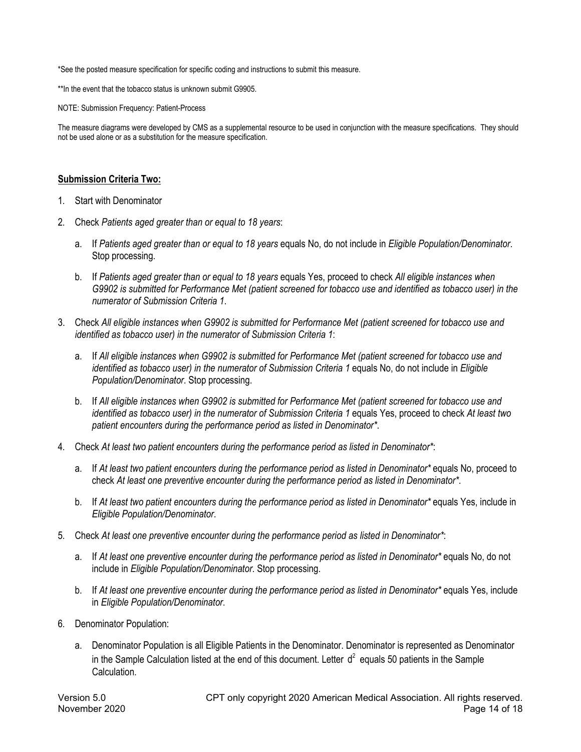\*See the posted measure specification for specific coding and instructions to submit this measure.

\*\*In the event that the tobacco status is unknown submit G9905.

NOTE: Submission Frequency: Patient-Process

The measure diagrams were developed by CMS as a supplemental resource to be used in conjunction with the measure specifications. They should not be used alone or as a substitution for the measure specification.

#### **Submission Criteria Two:**

- 1. Start with Denominator
- 2. Check *Patients aged greater than or equal to 18 years*:
	- a. If *Patients aged greater than or equal to 18 years* equals No, do not include in *Eligible Population/Denominator*. Stop processing.
	- b. If *Patients aged greater than or equal to 18 years* equals Yes, proceed to check *All eligible instances when G9902 is submitted for Performance Met (patient screened for tobacco use and identified as tobacco user) in the numerator of Submission Criteria 1*.
- 3. Check *All eligible instances when G9902 is submitted for Performance Met (patient screened for tobacco use and identified as tobacco user) in the numerator of Submission Criteria 1*:
	- a. If *All eligible instances when G9902 is submitted for Performance Met (patient screened for tobacco use and identified as tobacco user) in the numerator of Submission Criteria 1* equals No, do not include in *Eligible Population/Denominator*. Stop processing.
	- b. If *All eligible instances when G9902 is submitted for Performance Met (patient screened for tobacco use and identified as tobacco user) in the numerator of Submission Criteria 1* equals Yes, proceed to check *At least two patient encounters during the performance period as listed in Denominator\**.
- 4. Check *At least two patient encounters during the performance period as listed in Denominator\**:
	- a. If *At least two patient encounters during the performance period as listed in Denominator\** equals No, proceed to check *At least one preventive encounter during the performance period as listed in Denominator\**.
	- b. If *At least two patient encounters during the performance period as listed in Denominator\** equals Yes, include in *Eligible Population/Denominator*.
- 5. Check *At least one preventive encounter during the performance period as listed in Denominator\**:
	- a. If *At least one preventive encounter during the performance period as listed in Denominator\** equals No, do not include in *Eligible Population/Denominator*. Stop processing.
	- b. If At least one preventive encounter during the performance period as listed in Denominator\* equals Yes, include in *Eligible Population/Denominator*.
- 6. Denominator Population:
	- a. Denominator Population is all Eligible Patients in the Denominator. Denominator is represented as Denominator in the Sample Calculation listed at the end of this document. Letter  $d^2$  equals 50 patients in the Sample Calculation.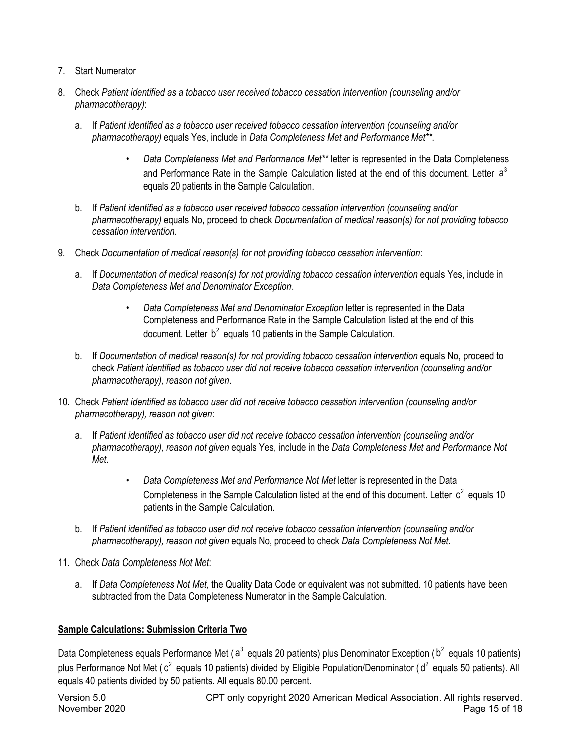- 7. Start Numerator
- 8. Check *Patient identified as a tobacco user received tobacco cessation intervention (counseling and/or pharmacotherapy)*:
	- a. If *Patient identified as a tobacco user received tobacco cessation intervention (counseling and/or pharmacotherapy)* equals Yes, include in *Data Completeness Met and PerformanceMet\*\**.
		- *Data Completeness Met and Performance Met\*\** letter is represented in the Data Completeness and Performance Rate in the Sample Calculation listed at the end of this document. Letter  $a<sup>3</sup>$ equals 20 patients in the Sample Calculation.
	- b. If *Patient identified as a tobacco user received tobacco cessation intervention (counseling and/or pharmacotherapy)* equals No, proceed to check *Documentation of medical reason(s) for not providing tobacco cessation intervention*.
- 9. Check *Documentation of medical reason(s) for not providing tobacco cessation intervention*:
	- a. If *Documentation of medical reason(s) for not providing tobacco cessation intervention* equals Yes, include in *Data Completeness Met and Denominator Exception*.
		- *Data Completeness Met and Denominator Exception* letter is represented in the Data Completeness and Performance Rate in the Sample Calculation listed at the end of this document. Letter  $b^2$  equals 10 patients in the Sample Calculation.
	- b. If *Documentation of medical reason(s) for not providing tobacco cessation intervention* equals No, proceed to check *Patient identified as tobacco user did not receive tobacco cessation intervention (counseling and/or pharmacotherapy), reason not given*.
- 10. Check *Patient identified as tobacco user did not receive tobacco cessation intervention (counseling and/or pharmacotherapy), reason not given*:
	- a. If *Patient identified as tobacco user did not receive tobacco cessation intervention (counseling and/or pharmacotherapy), reason not given* equals Yes, include in the *Data Completeness Met and Performance Not Met*.
		- *Data Completeness Met and Performance Not Met* letter is represented in the Data Completeness in the Sample Calculation listed at the end of this document. Letter  $c^2$  equals 10 patients in the Sample Calculation.
	- b. If *Patient identified as tobacco user did not receive tobacco cessation intervention (counseling and/or pharmacotherapy), reason not given* equals No, proceed to check *Data Completeness Not Met*.
- 11. Check *Data Completeness Not Met*:
	- a. If *Data Completeness Not Met*, the Quality Data Code or equivalent was not submitted. 10 patients have been subtracted from the Data Completeness Numerator in the Sample Calculation.

# **Sample Calculations: Submission Criteria Two**

Data Completeness equals Performance Met ( $a^3$  equals 20 patients) plus Denominator Exception ( $b^2$  equals 10 patients) plus Performance Not Met ( $c^2$  equals 10 patients) divided by Eligible Population/Denominator ( $d^2$  equals 50 patients). All equals 40 patients divided by 50 patients. All equals 80.00 percent.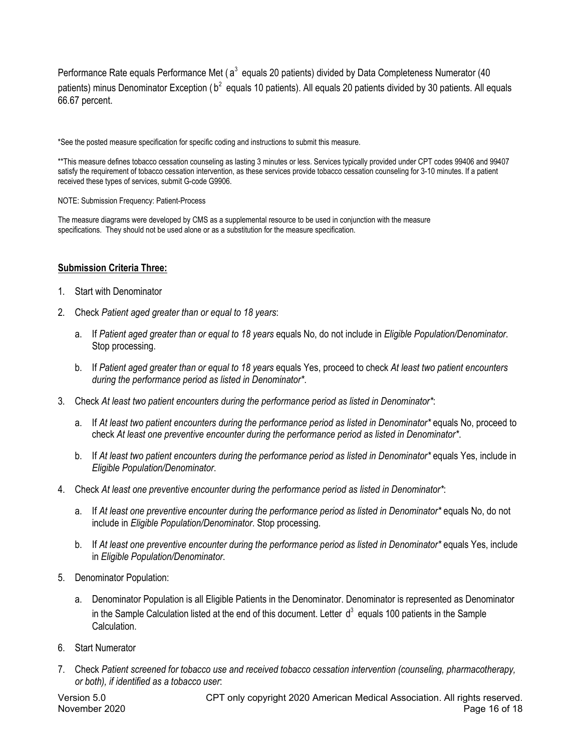Performance Rate equals Performance Met ( $a^3$  equals 20 patients) divided by Data Completeness Numerator (40 patients) minus Denominator Exception ( $b^2$  equals 10 patients). All equals 20 patients divided by 30 patients. All equals 66.67 percent.

\*See the posted measure specification for specific coding and instructions to submit this measure.

\*\*This measure defines tobacco cessation counseling as lasting 3 minutes or less. Services typically provided under CPT codes 99406 and 99407 satisfy the requirement of tobacco cessation intervention, as these services provide tobacco cessation counseling for 3-10 minutes. If a patient received these types of services, submit G-code G9906.

NOTE: Submission Frequency: Patient-Process

The measure diagrams were developed by CMS as a supplemental resource to be used in conjunction with the measure specifications. They should not be used alone or as a substitution for the measure specification.

# **Submission Criteria Three:**

- 1. Start with Denominator
- 2. Check *Patient aged greater than or equal to 18 years*:
	- a. If *Patient aged greater than or equal to 18 years* equals No, do not include in *Eligible Population/Denominator*. Stop processing.
	- b. If *Patient aged greater than or equal to 18 years* equals Yes, proceed to check *At least two patient encounters during the performance period as listed in Denominator\**.
- 3. Check *At least two patient encounters during the performance period as listed in Denominator\**:
	- a. If *At least two patient encounters during the performance period as listed in Denominator\** equals No, proceed to check *At least one preventive encounter during the performance period as listed in Denominator\**.
	- b. If *At least two patient encounters during the performance period as listed in Denominator\** equals Yes, include in *Eligible Population/Denominator*.
- 4. Check *At least one preventive encounter during the performance period as listed in Denominator\**:
	- a. If *At least one preventive encounter during the performance period as listed in Denominator\** equals No, do not include in *Eligible Population/Denominator*. Stop processing.
	- b. If *At least one preventive encounter during the performance period as listed in Denominator\** equals Yes, include in *Eligible Population/Denominator*.
- 5. Denominator Population:
	- a. Denominator Population is all Eligible Patients in the Denominator. Denominator is represented as Denominator in the Sample Calculation listed at the end of this document. Letter  $d<sup>3</sup>$  equals 100 patients in the Sample Calculation.
- 6. Start Numerator
- 7. Check *Patient screened for tobacco use and received tobacco cessation intervention (counseling, pharmacotherapy, or both), if identified as a tobacco user*: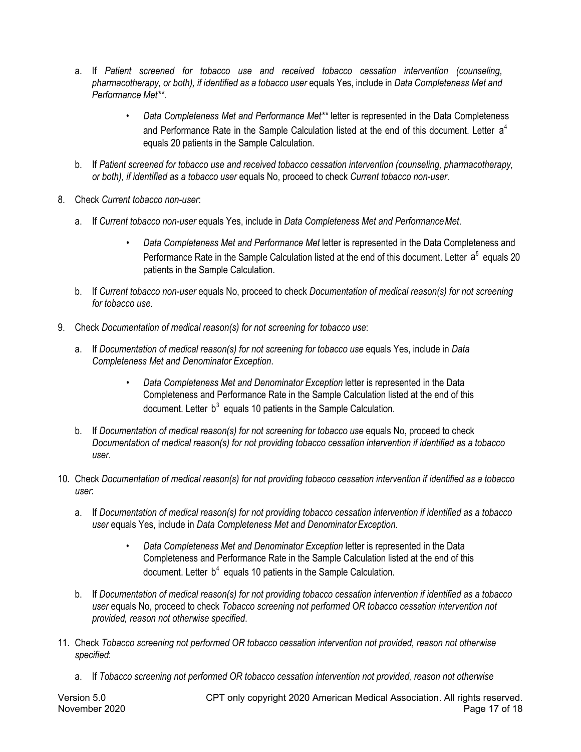- a. If *Patient screened for tobacco use and received tobacco cessation intervention (counseling, pharmacotherapy, or both), if identified as a tobacco user* equals Yes, include in *Data Completeness Met and Performance Met\*\**.
	- *Data Completeness Met and Performance Met\*\** letter is represented in the Data Completeness and Performance Rate in the Sample Calculation listed at the end of this document. Letter  $a<sup>4</sup>$ equals 20 patients in the Sample Calculation.
- b. If *Patient screened for tobacco use and received tobacco cessation intervention (counseling, pharmacotherapy, or both), if identified as a tobacco user* equals No, proceed to check *Current tobacco non-user*.
- 8. Check *Current tobacco non-user*:
	- a. If *Current tobacco non-user* equals Yes, include in *Data Completeness Met and PerformanceMet*.
		- *Data Completeness Met and Performance Met* letter is represented in the Data Completeness and Performance Rate in the Sample Calculation listed at the end of this document. Letter  $a<sup>5</sup>$  equals 20 patients in the Sample Calculation.
	- b. If *Current tobacco non-user* equals No, proceed to check *Documentation of medical reason(s) for not screening for tobacco use*.
- 9. Check *Documentation of medical reason(s) for not screening for tobacco use*:
	- a. If *Documentation of medical reason(s) for not screening for tobacco use* equals Yes, include in *Data Completeness Met and Denominator Exception*.
		- *Data Completeness Met and Denominator Exception* letter is represented in the Data Completeness and Performance Rate in the Sample Calculation listed at the end of this document. Letter  $b^3$  equals 10 patients in the Sample Calculation.
	- b. If *Documentation of medical reason(s) for not screening for tobacco use* equals No, proceed to check *Documentation of medical reason(s) for not providing tobacco cessation intervention if identified as a tobacco user*.
- 10. Check *Documentation of medical reason(s) for not providing tobacco cessation intervention if identified as a tobacco user*:
	- a. If *Documentation of medical reason(s) for not providing tobacco cessation intervention if identified as a tobacco user* equals Yes, include in *Data Completeness Met and DenominatorException*.
		- *Data Completeness Met and Denominator Exception* letter is represented in the Data Completeness and Performance Rate in the Sample Calculation listed at the end of this document. Letter b<sup>4</sup> equals 10 patients in the Sample Calculation.
	- b. If *Documentation of medical reason(s) for not providing tobacco cessation intervention if identified as a tobacco user* equals No, proceed to check *Tobacco screening not performed OR tobacco cessation intervention not provided, reason not otherwise specified*.
- 11. Check *Tobacco screening not performed OR tobacco cessation intervention not provided, reason not otherwise specified*:
	- a. If *Tobacco screening not performed OR tobacco cessation intervention not provided, reason not otherwise*